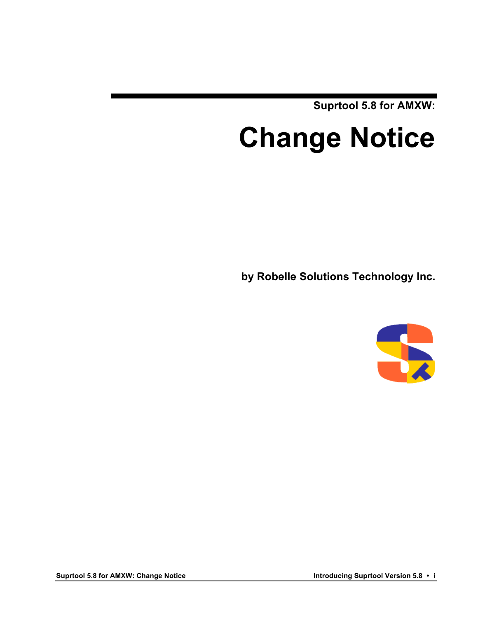**Suprtool 5.8 for AMXW:**

# **Change Notice**

**by Robelle Solutions Technology Inc.**

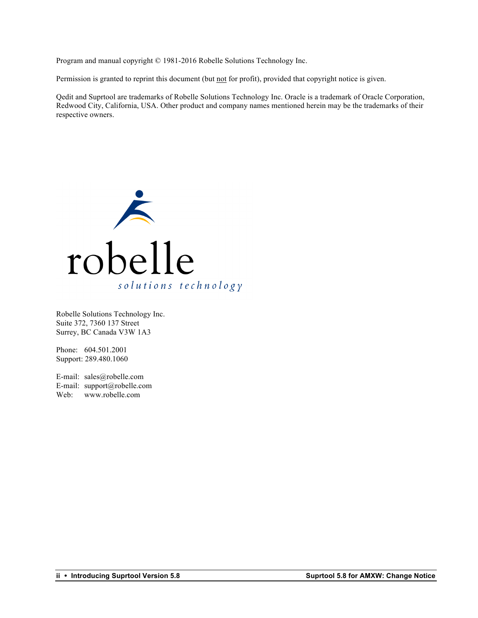Program and manual copyright © 1981-2016 Robelle Solutions Technology Inc.

Permission is granted to reprint this document (but not for profit), provided that copyright notice is given.

Qedit and Suprtool are trademarks of Robelle Solutions Technology Inc. Oracle is a trademark of Oracle Corporation, Redwood City, California, USA. Other product and company names mentioned herein may be the trademarks of their respective owners.



Robelle Solutions Technology Inc. Suite 372, 7360 137 Street Surrey, BC Canada V3W 1A3

Phone: 604.501.2001 Support: 289.480.1060

E-mail: sales@robelle.com E-mail: support@robelle.com Web: www.robelle.com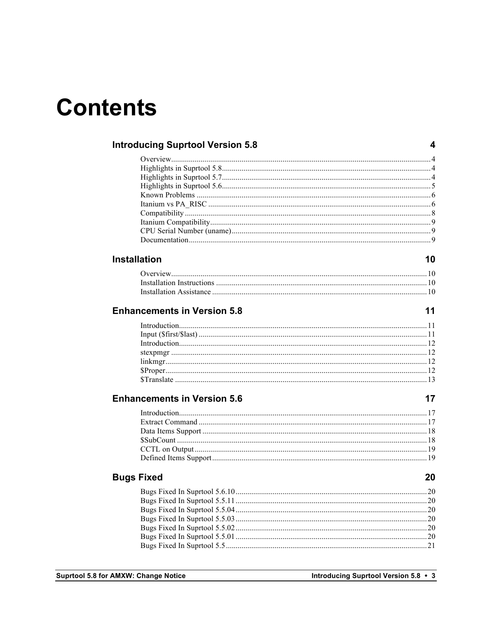## **Contents**

| <b>Introducing Suprtool Version 5.8</b> |    |
|-----------------------------------------|----|
|                                         |    |
|                                         |    |
|                                         |    |
|                                         |    |
|                                         |    |
|                                         |    |
|                                         |    |
|                                         |    |
|                                         |    |
|                                         |    |
| <b>Installation</b>                     | 10 |
|                                         |    |
|                                         |    |
|                                         |    |
|                                         |    |
| <b>Enhancements in Version 5.8</b>      | 11 |
|                                         |    |
|                                         |    |
|                                         |    |
|                                         |    |
|                                         |    |
|                                         |    |
|                                         |    |
| <b>Enhancements in Version 5.6</b>      | 17 |
|                                         |    |
|                                         |    |
|                                         |    |
|                                         |    |
|                                         |    |
|                                         |    |
| <b>Bugs Fixed</b>                       | 20 |
|                                         |    |
|                                         |    |
|                                         |    |
|                                         |    |
|                                         |    |
|                                         |    |
|                                         |    |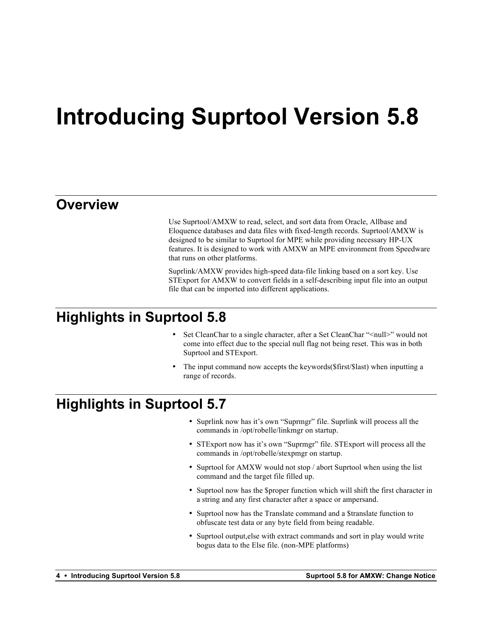## **Introducing Suprtool Version 5.8**

### **Overview**

Use Suprtool/AMXW to read, select, and sort data from Oracle, Allbase and Eloquence databases and data files with fixed-length records. Suprtool/AMXW is designed to be similar to Suprtool for MPE while providing necessary HP-UX features. It is designed to work with AMXW an MPE environment from Speedware that runs on other platforms.

Suprlink/AMXW provides high-speed data-file linking based on a sort key. Use STExport for AMXW to convert fields in a self-describing input file into an output file that can be imported into different applications.

### **Highlights in Suprtool 5.8**

- Set CleanChar to a single character, after a Set CleanChar "<null>" would not come into effect due to the special null flag not being reset. This was in both Suprtool and STExport.
- The input command now accepts the keywords (\$first /\$last) when inputting a range of records.

### **Highlights in Suprtool 5.7**

- Suprlink now has it's own "Suprmgr" file. Suprlink will process all the commands in /opt/robelle/linkmgr on startup.
- STExport now has it's own "Suprmgr" file. STExport will process all the commands in /opt/robelle/stexpmgr on startup.
- Suprtool for AMXW would not stop / abort Suprtool when using the list command and the target file filled up.
- Suprtool now has the \$proper function which will shift the first character in a string and any first character after a space or ampersand.
- Suprtool now has the Translate command and a \$translate function to obfuscate test data or any byte field from being readable.
- Suprtool output,else with extract commands and sort in play would write bogus data to the Else file. (non-MPE platforms)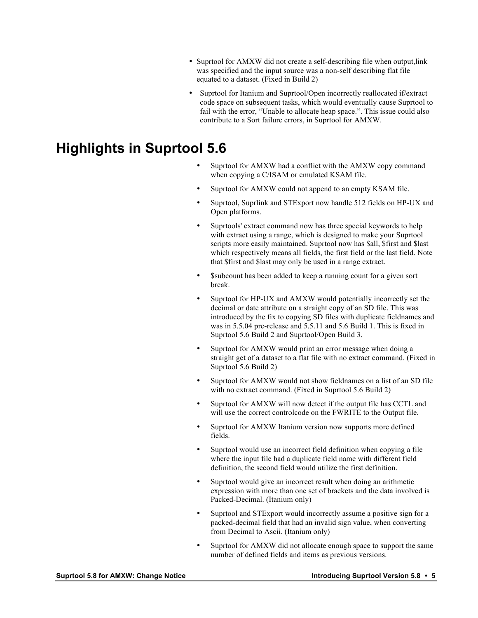- Suprtool for AMXW did not create a self-describing file when output, link was specified and the input source was a non-self describing flat file equated to a dataset. (Fixed in Build 2)
- Suprtool for Itanium and Suprtool/Open incorrectly reallocated if/extract code space on subsequent tasks, which would eventually cause Suprtool to fail with the error, "Unable to allocate heap space.". This issue could also contribute to a Sort failure errors, in Suprtool for AMXW.

### **Highlights in Suprtool 5.6**

- Suprtool for AMXW had a conflict with the AMXW copy command when copying a C/ISAM or emulated KSAM file.
- Suprtool for AMXW could not append to an empty KSAM file.
- Suprtool, Suprlink and STExport now handle 512 fields on HP-UX and Open platforms.
- Suprtools' extract command now has three special keywords to help with extract using a range, which is designed to make your Suprtool scripts more easily maintained. Suprtool now has \$all, \$first and \$last which respectively means all fields, the first field or the last field. Note that \$first and \$last may only be used in a range extract.
- \$subcount has been added to keep a running count for a given sort break.
- Suprtool for HP-UX and AMXW would potentially incorrectly set the decimal or date attribute on a straight copy of an SD file. This was introduced by the fix to copying SD files with duplicate fieldnames and was in 5.5.04 pre-release and 5.5.11 and 5.6 Build 1. This is fixed in Suprtool 5.6 Build 2 and Suprtool/Open Build 3.
- Suprtool for AMXW would print an error message when doing a straight get of a dataset to a flat file with no extract command. (Fixed in Suprtool 5.6 Build 2)
- Suprtool for AMXW would not show fieldnames on a list of an SD file with no extract command. (Fixed in Suprtool 5.6 Build 2)
- Suprtool for AMXW will now detect if the output file has CCTL and will use the correct controlcode on the FWRITE to the Output file.
- Suprtool for AMXW Itanium version now supports more defined fields.
- Suprtool would use an incorrect field definition when copying a file where the input file had a duplicate field name with different field definition, the second field would utilize the first definition.
- Suprtool would give an incorrect result when doing an arithmetic expression with more than one set of brackets and the data involved is Packed-Decimal. (Itanium only)
- Suprtool and STExport would incorrectly assume a positive sign for a packed-decimal field that had an invalid sign value, when converting from Decimal to Ascii. (Itanium only)
- Suprtool for AMXW did not allocate enough space to support the same number of defined fields and items as previous versions.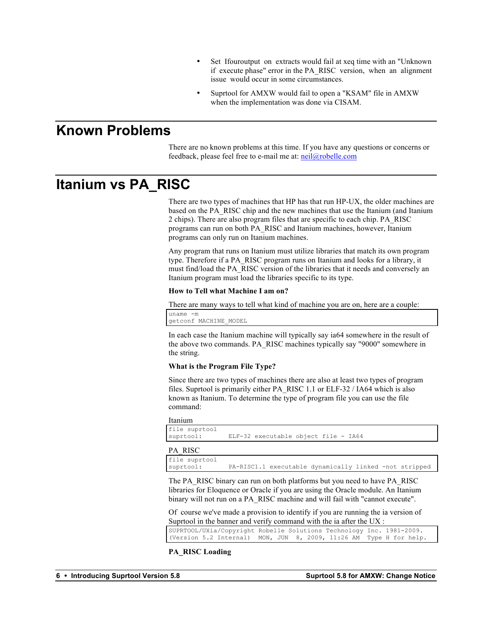- Set Ifouroutput on extracts would fail at xeq time with an "Unknown" if execute phase" error in the PA\_RISC version, when an alignment issue would occur in some circumstances.
- Suprtool for AMXW would fail to open a "KSAM" file in AMXW when the implementation was done via CISAM.

### **Known Problems**

There are no known problems at this time. If you have any questions or concerns or feedback, please feel free to e-mail me at:  $neil@robelle.com$ 

### **Itanium vs PA\_RISC**

There are two types of machines that HP has that run HP-UX, the older machines are based on the PA\_RISC chip and the new machines that use the Itanium (and Itanium 2 chips). There are also program files that are specific to each chip. PA\_RISC programs can run on both PA\_RISC and Itanium machines, however, Itanium programs can only run on Itanium machines.

Any program that runs on Itanium must utilize libraries that match its own program type. Therefore if a PA\_RISC program runs on Itanium and looks for a library, it must find/load the PA\_RISC version of the libraries that it needs and conversely an Itanium program must load the libraries specific to its type.

#### **How to Tell what Machine I am on?**

There are many ways to tell what kind of machine you are on, here are a couple:

uname -m getconf MACHINE\_MODEL

In each case the Itanium machine will typically say ia64 somewhere in the result of the above two commands. PA\_RISC machines typically say "9000" somewhere in the string.

#### **What is the Program File Type?**

Since there are two types of machines there are also at least two types of program files. Suprtool is primarily either PA\_RISC 1.1 or ELF-32 / IA64 which is also known as Itanium. To determine the type of program file you can use the file command:

#### Itanium

```
file suprtool<br>suprtool:
                    ELF-32 executable object file - IA64
```
PA\_RISC

file suprtool suprtool: PA-RISC1.1 executable dynamically linked -not stripped

The PA\_RISC binary can run on both platforms but you need to have PA\_RISC libraries for Eloquence or Oracle if you are using the Oracle module. An Itanium binary will not run on a PA\_RISC machine and will fail with "cannot execute".

Of course we've made a provision to identify if you are running the ia version of Suprtool in the banner and verify command with the ia after the UX :

| SUPRTOOL/UXia/Copyright Robelle Solutions Technology Inc. 1981-2009. |  |  |  |
|----------------------------------------------------------------------|--|--|--|
| (Version 5.2 Internal) MON, JUN 8, 2009, 11:26 AM Type H for help.   |  |  |  |

#### **PA\_RISC Loading**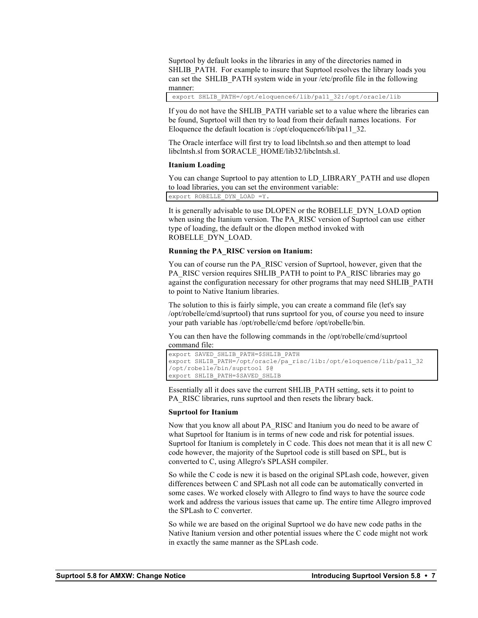Suprtool by default looks in the libraries in any of the directories named in SHLIB\_PATH. For example to insure that Suprtool resolves the library loads you can set the SHLIB\_PATH system wide in your /etc/profile file in the following manner:

export SHLIB\_PATH=/opt/eloquence6/lib/pa11\_32:/opt/oracle/lib

If you do not have the SHLIB\_PATH variable set to a value where the libraries can be found, Suprtool will then try to load from their default names locations. For Eloquence the default location is :/opt/eloquence6/lib/pa11\_32.

The Oracle interface will first try to load libclntsh.so and then attempt to load libclntsh.sl from \$ORACLE\_HOME/lib32/libclntsh.sl.

#### **Itanium Loading**

You can change Suprtool to pay attention to LD\_LIBRARY\_PATH and use dlopen to load libraries, you can set the environment variable:

export ROBELLE\_DYN\_LOAD =Y.

It is generally advisable to use DLOPEN or the ROBELLE\_DYN\_LOAD option when using the Itanium version. The PA\_RISC version of Suprtool can use either type of loading, the default or the dlopen method invoked with ROBELLE\_DYN\_LOAD.

#### **Running the PA\_RISC version on Itanium:**

You can of course run the PA\_RISC version of Suprtool, however, given that the PA\_RISC version requires SHLIB\_PATH to point to PA\_RISC libraries may go against the configuration necessary for other programs that may need SHLIB\_PATH to point to Native Itanium libraries.

The solution to this is fairly simple, you can create a command file (let's say /opt/robelle/cmd/suprtool) that runs suprtool for you, of course you need to insure your path variable has /opt/robelle/cmd before /opt/robelle/bin.

You can then have the following commands in the /opt/robelle/cmd/suprtool command file:

```
export SAVED_SHLIB_PATH=$SHLIB_PATH
export SHLIB_PATH=/opt/oracle/pa_risc/lib:/opt/eloquence/lib/pa11_32
/opt/robelle/bin/suprtool $@
export SHLIB_PATH=$SAVED_SHLIB
```
Essentially all it does save the current SHLIB\_PATH setting, sets it to point to PA\_RISC libraries, runs suprtool and then resets the library back.

#### **Suprtool for Itanium**

Now that you know all about PA\_RISC and Itanium you do need to be aware of what Suprtool for Itanium is in terms of new code and risk for potential issues. Suprtool for Itanium is completely in C code. This does not mean that it is all new C code however, the majority of the Suprtool code is still based on SPL, but is converted to C, using Allegro's SPLASH compiler.

So while the C code is new it is based on the original SPLash code, however, given differences between C and SPLash not all code can be automatically converted in some cases. We worked closely with Allegro to find ways to have the source code work and address the various issues that came up. The entire time Allegro improved the SPLash to C converter.

So while we are based on the original Suprtool we do have new code paths in the Native Itanium version and other potential issues where the C code might not work in exactly the same manner as the SPLash code.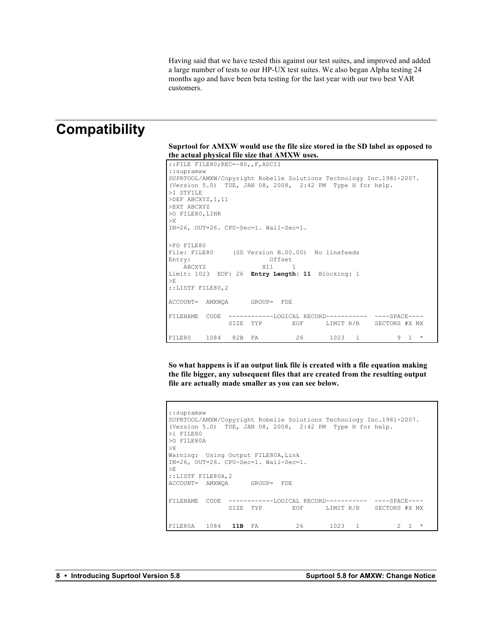Having said that we have tested this against our test suites, and improved and added a large number of tests to our HP-UX test suites. We also began Alpha testing 24 months ago and have been beta testing for the last year with our two best VAR customers.

### **Compatibility**

**Suprtool for AMXW would use the file size stored in the SD label as opposed to the actual physical file size that AMXW uses.** 

```
::FILE FILE80;REC=-80,,F,ASCII
::supramxw
SUPRTOOL/AMXW/Copyright Robelle Solutions Technology Inc.1981-2007.
(Version 5.0) TUE, JAN 08, 2008, 2:42 PM Type H for help.
>I STFILE
>DEF ABCXYZ,1,11
>EXT ABCXYZ
>O FILE80,LINK
>X
IN=26, OUT=26. CPU-Sec=1. Wall-Sec=1.
>FO FILE80
File: FILE80 (SD Version B.00.00) No linefeeds
Entry: Offset
ABCXYZ X11 1
Limit: 1023 EOF: 26 Entry Length: 11 Blocking: 1
>E
::LISTF FILE80,2
ACCOUNT= AMXWQA GROUP= FDE
FILENAME CODE ------------LOGICAL RECORD----------- ----SPACE----<br>SIZE TYP EOF LIMIT R/B SECTORS #X MX
                                    LIMIT R/B SECTORS #X MX
FILE80 1084 82B FA 26 1023 1 9 1 *
```
**So what happens is if an output link file is created with a file equation making the file bigger, any subsequent files that are created from the resulting output file are actually made smaller as you can see below.**

```
::supramxw
SUPRTOOL/AMXW/Copyright Robelle Solutions Technology Inc.1981-2007.
(Version 5.0) TUE, JAN 08, 2008, 2:42 PM Type H for help.
>i FILE80
>O FILE80A
>X
Warning: Using Output FILE80A, Link
IN=26, OUT=26. CPU-Sec=1. Wall-Sec=1.
>E
::LISTF FILE80A,2
ACCOUNT= AMXWQA GROUP= FDE
FILENAME CODE ------------LOGICAL RECORD----------- ----SPACE----
              SIZE TYP EOF LIMIT R/B SECTORS #X MX
FILE80A 1084 11B FA 26 1023 1 2 1 *
```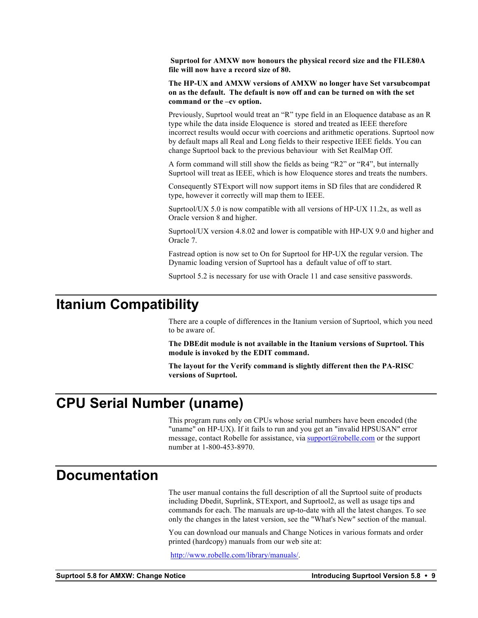**Suprtool for AMXW now honours the physical record size and the FILE80A file will now have a record size of 80.**

**The HP-UX and AMXW versions of AMXW no longer have Set varsubcompat on as the default. The default is now off and can be turned on with the set command or the –cv option.**

Previously, Suprtool would treat an "R" type field in an Eloquence database as an R type while the data inside Eloquence is stored and treated as IEEE therefore incorrect results would occur with coercions and arithmetic operations. Suprtool now by default maps all Real and Long fields to their respective IEEE fields. You can change Suprtool back to the previous behaviour with Set RealMap Off.

A form command will still show the fields as being "R2" or "R4", but internally Suprtool will treat as IEEE, which is how Eloquence stores and treats the numbers.

Consequently STExport will now support items in SD files that are condidered R type, however it correctly will map them to IEEE.

Suprtool/UX 5.0 is now compatible with all versions of HP-UX 11.2x, as well as Oracle version 8 and higher.

Suprtool/UX version 4.8.02 and lower is compatible with HP-UX 9.0 and higher and Oracle 7.

Fastread option is now set to On for Suprtool for HP-UX the regular version. The Dynamic loading version of Suprtool has a default value of off to start.

Suprtool 5.2 is necessary for use with Oracle 11 and case sensitive passwords.

### **Itanium Compatibility**

There are a couple of differences in the Itanium version of Suprtool, which you need to be aware of.

**The DBEdit module is not available in the Itanium versions of Suprtool. This module is invoked by the EDIT command.**

**The layout for the Verify command is slightly different then the PA-RISC versions of Suprtool.**

### **CPU Serial Number (uname)**

This program runs only on CPUs whose serial numbers have been encoded (the "uname" on HP-UX). If it fails to run and you get an "invalid HPSUSAN" error message, contact Robelle for assistance, via support@robelle.com or the support number at 1-800-453-8970.

### **Documentation**

The user manual contains the full description of all the Suprtool suite of products including Dbedit, Suprlink, STExport, and Suprtool2, as well as usage tips and commands for each. The manuals are up-to-date with all the latest changes. To see only the changes in the latest version, see the "What's New" section of the manual.

You can download our manuals and Change Notices in various formats and order printed (hardcopy) manuals from our web site at:

http://www.robelle.com/library/manuals/.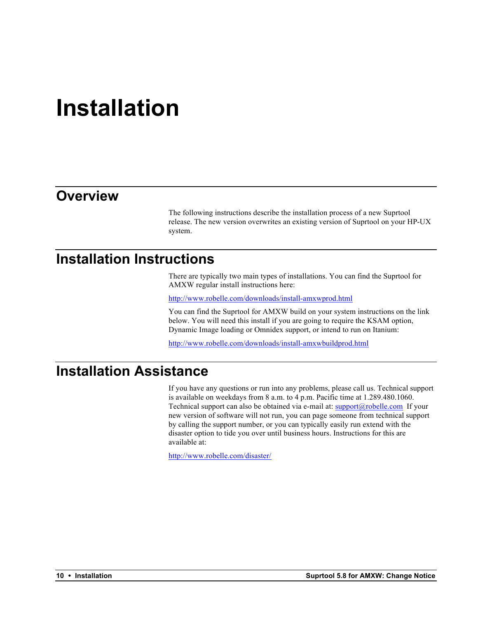## **Installation**

### **Overview**

The following instructions describe the installation process of a new Suprtool release. The new version overwrites an existing version of Suprtool on your HP-UX system.

### **Installation Instructions**

There are typically two main types of installations. You can find the Suprtool for AMXW regular install instructions here:

http://www.robelle.com/downloads/install-amxwprod.html

You can find the Suprtool for AMXW build on your system instructions on the link below. You will need this install if you are going to require the KSAM option, Dynamic Image loading or Omnidex support, or intend to run on Itanium:

http://www.robelle.com/downloads/install-amxwbuildprod.html

### **Installation Assistance**

If you have any questions or run into any problems, please call us. Technical support is available on weekdays from 8 a.m. to 4 p.m. Pacific time at 1.289.480.1060. Technical support can also be obtained via e-mail at:  $\frac{\text{support}(a)\text{rolelle.com}}{\text{support}(b)\text{row}}$  If your new version of software will not run, you can page someone from technical support by calling the support number, or you can typically easily run extend with the disaster option to tide you over until business hours. Instructions for this are available at:

http://www.robelle.com/disaster/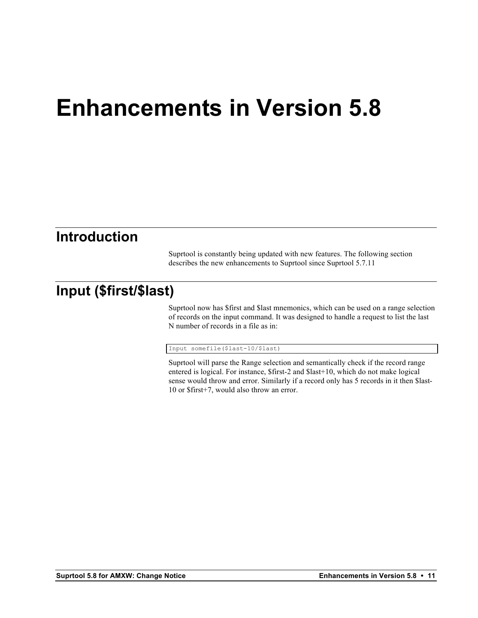## **Enhancements in Version 5.8**

### **Introduction**

Suprtool is constantly being updated with new features. The following section describes the new enhancements to Suprtool since Suprtool 5.7.11

### **Input (\$first/\$last)**

Suprtool now has \$first and \$last mnemonics, which can be used on a range selection of records on the input command. It was designed to handle a request to list the last N number of records in a file as in:

Input somefile(\$last-10/\$last)

Suprtool will parse the Range selection and semantically check if the record range entered is logical. For instance, \$first-2 and \$last+10, which do not make logical sense would throw and error. Similarly if a record only has 5 records in it then \$last-10 or \$first+7, would also throw an error.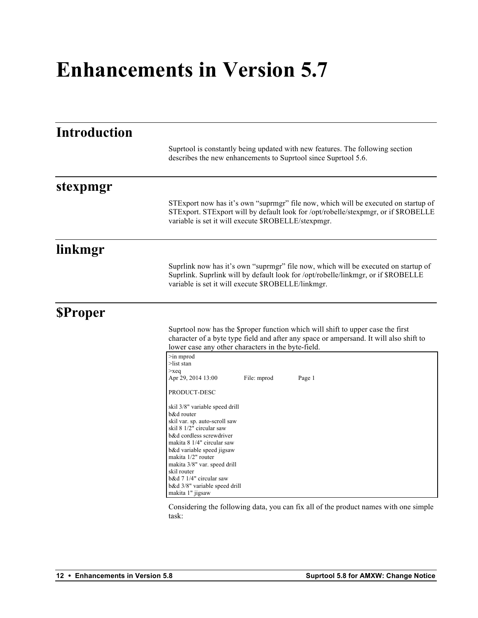## **Enhancements in Version 5.7**

| <b>Introduction</b> |                                                                                                                                                                                                                                 |  |  |  |  |
|---------------------|---------------------------------------------------------------------------------------------------------------------------------------------------------------------------------------------------------------------------------|--|--|--|--|
|                     | Suprtool is constantly being updated with new features. The following section<br>describes the new enhancements to Suprtool since Suprtool 5.6.                                                                                 |  |  |  |  |
| stexpmgr            |                                                                                                                                                                                                                                 |  |  |  |  |
|                     | STExport now has it's own "suprmgr" file now, which will be executed on startup of<br>STExport. STExport will by default look for /opt/robelle/stexpmgr, or if \$ROBELLE<br>variable is set it will execute \$ROBELLE/stexpmgr. |  |  |  |  |
| linkmgr             |                                                                                                                                                                                                                                 |  |  |  |  |
|                     | Suprlink now has it's own "suprmgr" file now, which will be executed on startup of<br>Suprlink. Suprlink will by default look for /opt/robelle/linkmgr, or if \$ROBELLE<br>variable is set it will execute \$ROBELLE/linkmgr.   |  |  |  |  |
| <b>SProper</b>      |                                                                                                                                                                                                                                 |  |  |  |  |
|                     | Suprtool now has the \$proper function which will shift to upper case the first<br>character of a byte type field and after any space or ampersand. It will also shift to<br>lower case any other characters in the byte-field. |  |  |  |  |
|                     | $\geq$ in mprod<br>$>$ list stan                                                                                                                                                                                                |  |  |  |  |
|                     | $>$ xeq<br>Apr 29, 2014 13:00<br>File: mprod<br>Page 1                                                                                                                                                                          |  |  |  |  |
|                     | PRODUCT-DESC                                                                                                                                                                                                                    |  |  |  |  |
|                     | skil 3/8" variable speed drill<br>b&d router<br>skil var. sp. auto-scroll saw                                                                                                                                                   |  |  |  |  |
|                     | skil 8 1/2" circular saw<br>b&d cordless screwdriver                                                                                                                                                                            |  |  |  |  |
|                     | makita 8 1/4" circular saw<br>b&d variable speed jigsaw                                                                                                                                                                         |  |  |  |  |
|                     | makita 1/2" router<br>makita 3/8" var. speed drill                                                                                                                                                                              |  |  |  |  |
|                     | skil router<br>$b\&d$ 7 1/4" circular saw                                                                                                                                                                                       |  |  |  |  |
|                     | b&d 3/8" variable speed drill<br>makita 1" jigsaw                                                                                                                                                                               |  |  |  |  |
|                     |                                                                                                                                                                                                                                 |  |  |  |  |

Considering the following data, you can fix all of the product names with one simple task: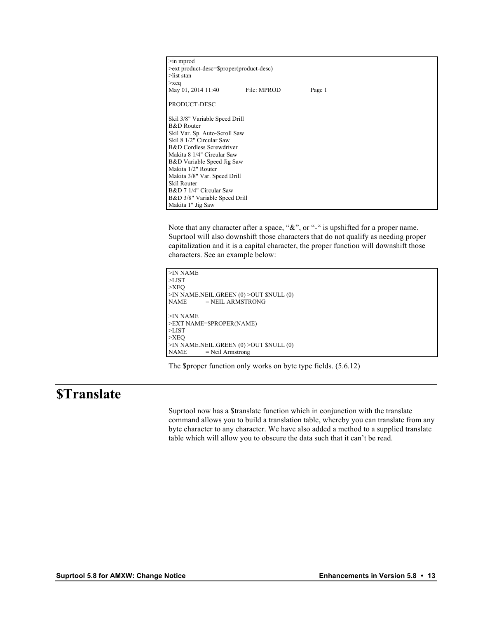| $\geq$ in mprod<br>>ext product-desc=\$proper(product-desc) |                            |        |  |  |  |  |  |  |
|-------------------------------------------------------------|----------------------------|--------|--|--|--|--|--|--|
| $>$ list stan                                               |                            |        |  |  |  |  |  |  |
| $>$ xeq<br>May 01, 2014 11:40                               | File: MPROD                | Page 1 |  |  |  |  |  |  |
| PRODUCT-DESC                                                |                            |        |  |  |  |  |  |  |
| Skil 3/8" Variable Speed Drill                              |                            |        |  |  |  |  |  |  |
| <b>B&amp;D</b> Router                                       |                            |        |  |  |  |  |  |  |
| Skil Var. Sp. Auto-Scroll Saw                               |                            |        |  |  |  |  |  |  |
| Skil 8 1/2" Circular Saw                                    |                            |        |  |  |  |  |  |  |
|                                                             | B&D Cordless Screwdriver   |        |  |  |  |  |  |  |
|                                                             | Makita 8 1/4" Circular Saw |        |  |  |  |  |  |  |
|                                                             | B&D Variable Speed Jig Saw |        |  |  |  |  |  |  |
| Makita 1/2" Router                                          |                            |        |  |  |  |  |  |  |
| Makita 3/8" Var. Speed Drill                                |                            |        |  |  |  |  |  |  |
| Skil Router                                                 |                            |        |  |  |  |  |  |  |
| B&D 7 1/4" Circular Saw                                     |                            |        |  |  |  |  |  |  |
| B&D 3/8" Variable Speed Drill                               |                            |        |  |  |  |  |  |  |
| Makita 1" Jig Saw                                           |                            |        |  |  |  |  |  |  |

Note that any character after a space, "&", or "-" is upshifted for a proper name. Suprtool will also downshift those characters that do not qualify as needing proper capitalization and it is a capital character, the proper function will downshift those characters. See an example below:

```
>IN NAME
>LIST
>XEQ
>IN NAME.NEIL.GREEN (0) >OUT $NULL (0)<br>NAME = NEIL ARMSTRONG
             = NEIL ARMSTRONG
>IN NAME
>EXT NAME=$PROPER(NAME)
>LIST
>XEQ
>IN NAME.NEIL.GREEN (0) >OUT $NULL (0)<br>NAME = Neil Armstrong
             = Neil Armstrong
```
The \$proper function only works on byte type fields. (5.6.12)

### **\$Translate**

Suprtool now has a \$translate function which in conjunction with the translate command allows you to build a translation table, whereby you can translate from any byte character to any character. We have also added a method to a supplied translate table which will allow you to obscure the data such that it can't be read.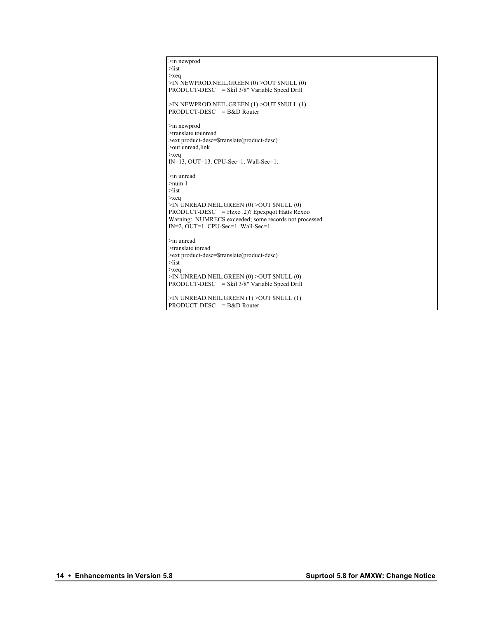```
>in newprod
>list
>xeq
>IN NEWPROD.NEIL.GREEN (0) >OUT $NULL (0)
PRODUCT-DESC = Skil 3/8" Variable Speed Drill
>IN NEWPROD.NEIL.GREEN (1) >OUT $NULL (1)
PRODUCT-DESC = B&D Router
>in newprod
>translate tounread
>ext product-desc=$translate(product-desc)
>out unread,link
>xeq
IN=13, OUT=13. CPU-Sec=1. Wall-Sec=1.
>in unread
>num 1
>list
>xeq
>IN UNREAD.NEIL.GREEN (0) >OUT $NULL (0)
PRODUCT-DESC = Hzxo .2)? Epcxpqot Hatts Rcxoo
Warning: NUMRECS exceeded; some records not processed.
IN=2, OUT=1. CPU-Sec=1. Wall-Sec=1.
>in unread
>translate toread
>ext product-desc=$translate(product-desc)
>list
>xeq
>IN UNREAD.NEIL.GREEN (0) >OUT $NULL (0)
PRODUCT-DESC = Skil 3/8" Variable Speed Drill
>IN UNREAD.NEIL.GREEN (1) >OUT $NULL (1)
PRODUCT-DESC = B&D Router
```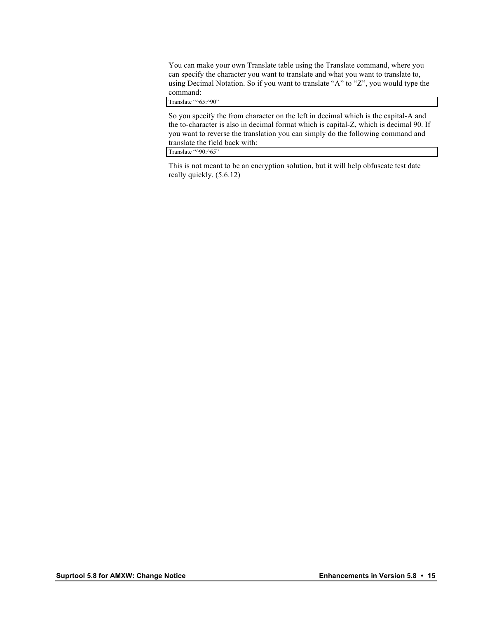You can make your own Translate table using the Translate command, where you can specify the character you want to translate and what you want to translate to, using Decimal Notation. So if you want to translate "A" to "Z", you would type the command:

Translate "^65:^90"

So you specify the from character on the left in decimal which is the capital-A and the to-character is also in decimal format which is capital-Z, which is decimal 90. If you want to reverse the translation you can simply do the following command and translate the field back with:

Translate "^90:^65"

This is not meant to be an encryption solution, but it will help obfuscate test date really quickly. (5.6.12)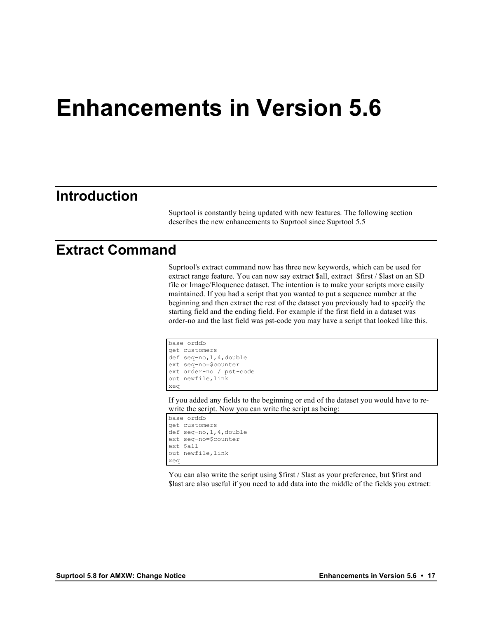## **Enhancements in Version 5.6**

### **Introduction**

Suprtool is constantly being updated with new features. The following section describes the new enhancements to Suprtool since Suprtool 5.5

### **Extract Command**

Suprtool's extract command now has three new keywords, which can be used for extract range feature. You can now say extract \$all, extract \$first / \$last on an SD file or Image/Eloquence dataset. The intention is to make your scripts more easily maintained. If you had a script that you wanted to put a sequence number at the beginning and then extract the rest of the dataset you previously had to specify the starting field and the ending field. For example if the first field in a dataset was order-no and the last field was pst-code you may have a script that looked like this.

```
base orddb
get customers
def seq-no,1,4,double
ext seq-no=$counter
ext order-no / pst-code
out newfile,link
xeq
```
If you added any fields to the beginning or end of the dataset you would have to rewrite the script. Now you can write the script as being:

```
base orddb
get customers
def seq-no,1,4,double
ext seq-no=$counter
ext $all
out newfile,link
xeq
```
You can also write the script using \$first / \$last as your preference, but \$first and \$last are also useful if you need to add data into the middle of the fields you extract: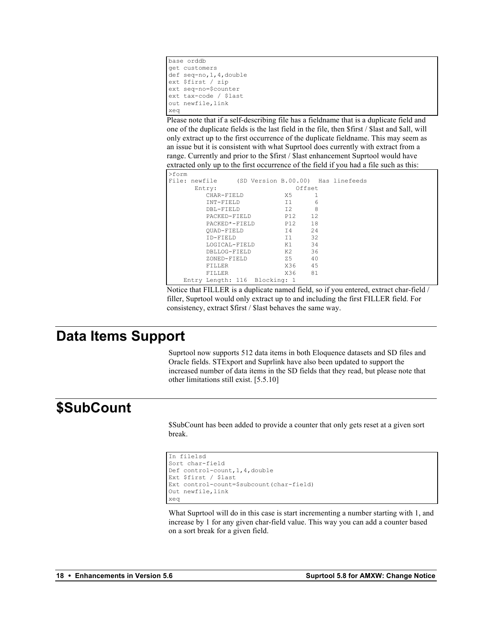```
base orddb
get customers
def seq-no,1,4,double
ext $first / zip
ext seq-no=$counter
ext tax-code / $last
out newfile,link
xeq
```
Please note that if a self-describing file has a fieldname that is a duplicate field and one of the duplicate fields is the last field in the file, then \$first / \$last and \$all, will only extract up to the first occurrence of the duplicate fieldname. This may seem as an issue but it is consistent with what Suprtool does currently with extract from a range. Currently and prior to the \$first / \$last enhancement Suprtool would have extracted only up to the first occurrence of the field if you had a file such as this:

| >form |        |                               |  |        |        |                                                  |
|-------|--------|-------------------------------|--|--------|--------|--------------------------------------------------|
|       |        |                               |  |        |        | File: newfile (SD Version B.00.00) Has linefeeds |
|       | Entry: |                               |  |        | Offset |                                                  |
|       |        | CHAR-FIELD                    |  | X5.    |        |                                                  |
|       |        | INT-FIELD                     |  | 11     | 6      |                                                  |
|       |        | DBL-FIELD                     |  | T2     | 8      |                                                  |
|       |        | PACKED-FIELD                  |  | P12 12 |        |                                                  |
|       |        | PACKED*-FIELD                 |  | P12 18 |        |                                                  |
|       |        | OUAD-FIELD                    |  | T4 24  |        |                                                  |
|       |        | TD-FTELD                      |  | $-11$  | 32     |                                                  |
|       |        | LOGICAL-FIELD                 |  | K1     | 34     |                                                  |
|       |        | DBLLOG-FIELD                  |  | K2     | 36     |                                                  |
|       |        | ZONED-FIELD                   |  | - 7.5  | 40     |                                                  |
|       |        | FTLLER.                       |  | X36 45 |        |                                                  |
|       |        | FTLLER.                       |  | X36    | 81     |                                                  |
|       |        | Entry Length: 116 Blocking: 1 |  |        |        |                                                  |

Notice that FILLER is a duplicate named field, so if you entered, extract char-field / filler, Suprtool would only extract up to and including the first FILLER field. For consistency, extract \$first / \$last behaves the same way.

### **Data Items Support**

Suprtool now supports 512 data items in both Eloquence datasets and SD files and Oracle fields. STExport and Suprlink have also been updated to support the increased number of data items in the SD fields that they read, but please note that other limitations still exist. [5.5.10]

### **\$SubCount**

\$SubCount has been added to provide a counter that only gets reset at a given sort break.

```
In file1sd
Sort char-field
Def control-count,1,4,double
Ext $first / $last
Ext control-count=$subcount(char-field)
Out newfile,link
xeq
```
What Suprtool will do in this case is start incrementing a number starting with 1, and increase by 1 for any given char-field value. This way you can add a counter based on a sort break for a given field.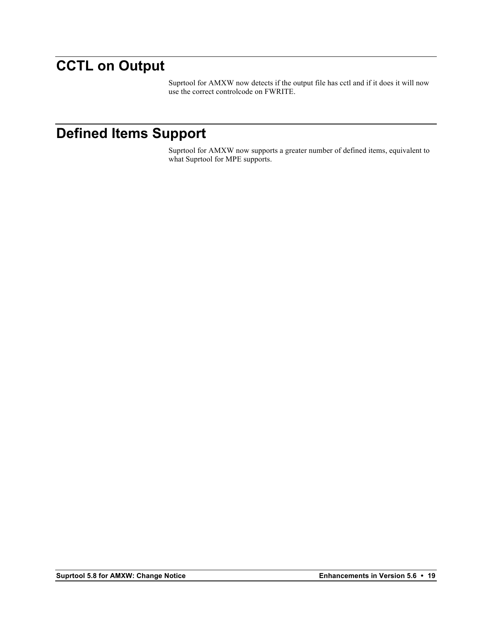### **CCTL on Output**

Suprtool for AMXW now detects if the output file has cctl and if it does it will now use the correct controlcode on FWRITE.

### **Defined Items Support**

Suprtool for AMXW now supports a greater number of defined items, equivalent to what Suprtool for MPE supports.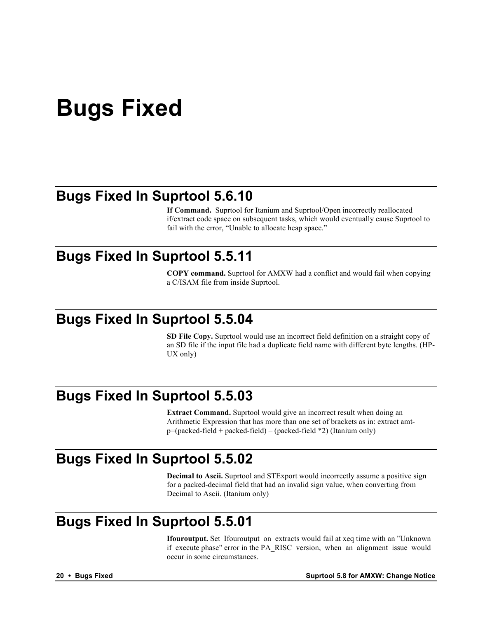## **Bugs Fixed**

### **Bugs Fixed In Suprtool 5.6.10**

**If Command.** Suprtool for Itanium and Suprtool/Open incorrectly reallocated if/extract code space on subsequent tasks, which would eventually cause Suprtool to fail with the error, "Unable to allocate heap space."

### **Bugs Fixed In Suprtool 5.5.11**

**COPY command.** Suprtool for AMXW had a conflict and would fail when copying a C/ISAM file from inside Suprtool.

### **Bugs Fixed In Suprtool 5.5.04**

**SD File Copy.** Suprtool would use an incorrect field definition on a straight copy of an SD file if the input file had a duplicate field name with different byte lengths. (HP-UX only)

### **Bugs Fixed In Suprtool 5.5.03**

**Extract Command.** Suprtool would give an incorrect result when doing an Arithmetic Expression that has more than one set of brackets as in: extract amt $p=(packet-field + packed-field) - (packet-field *2)$  (Itanium only)

### **Bugs Fixed In Suprtool 5.5.02**

**Decimal to Ascii.** Suprtool and STExport would incorrectly assume a positive sign for a packed-decimal field that had an invalid sign value, when converting from Decimal to Ascii. (Itanium only)

### **Bugs Fixed In Suprtool 5.5.01**

**Ifouroutput.** Set Ifouroutput on extracts would fail at xeq time with an "Unknown if execute phase" error in the PA\_RISC version, when an alignment issue would occur in some circumstances.